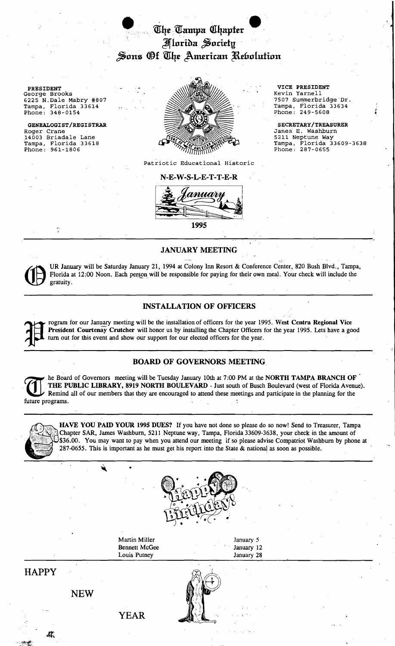

Roger Crane<br>14003 Briadale Lane GENEALOGIST/REGISTRAR



Patriotic Educational Historic



# JANUARY MEETING

UR January will be Saturday January 21, 1994 at Colony Inn Resort & Conference Center, 820 Bush Blvd., Tampa, Florida at 12:00 Noon. Each person will be responsible for paying for their own meal. Your check will include the gratuity.

# INSTALLATION OF OFFICERS

Fresident Courtenay Crutcher will honor us by installation of officers for the year 1995. West Centra Regional Vice<br>The President Courtenay Crutcher will honor us by installing the Chapter Officers for the year 1995. Lets President Courtenay Crutcher will honor us by installing the Chapter Officers for the year 1995. Lets have a good this interaction of OP OPPICERS<br>Transmitters and show meeting will be the installation of officers for the year 1995. West Centra Regional Vice<br>President Courtenay Crutcher will honor us by installing the Chapter Officers

# BOARD OF GOVERNORS MEETING

he Board of Governors meeting will be Tuesday January 10th at 7:00 PM at the NORTH TAMPA BRANCH OF<br>THE PUBLIC LIBRARY, 8919 NORTH BOULEVARD - Just south of Busch Boulevard (west of Florida Avenue).<br>Remind all of our member Remind all of bur members that they are encouraged to attend these meetings and participate in the planning for the future programs. .



HAVE YOU PAID YOUR 1995 DUES? If you have not done so please do so now! Send to Treasurer, Tampa \$35.00. You may want to pay when you attend our meeting if so please advise Compatriot Washburn by phone at Chapter SAR, James Washburn, 5211 Neptune way, Tampa, Florida 33609-3638, your check in the amount of 287-0655. This is important as he must get his report into the State  $&$  national as soon as possible.



Martin Miller **January 5** Bennett McGee January 12 Louis Putney January 28

HAPPY

NEW

YEAR



SECRETARY/TREASURER James E. Washburn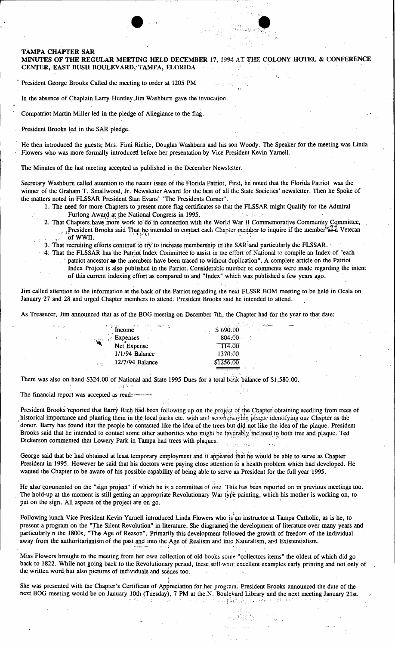#### **TAMPA CHAPTER SAR**

#### MINUTES OF THE REGULAR MEETING HELD DECEMBER 17, 1994 AT THE COLONY HOTEL & CONFERENCE CENTER, EAST BUSH BOULEVARD, TAMFA, FLORIDA

President George Brooks Called the meeting to order at 1205 PM

In the absence of Chaplain Larry Huntley, Jim Washburn gave the invocation.

Compatriot Martin Miller led in the pledge of Allegiance to the flag.

President Brooks led in the SAR pledge.

He then introduced the guests; Mrs. Fimi Richie, Douglas Washburn and his son Woody. The Speaker for the meeting was Linda Flowers who was more formally introduced before her presentation by Vice President Kevin Yarnell.

The Minutes of the last meeting accepted as published in the December Newsletter.

Secretary Washburn called attention to the recent issue of the Florida Patriot, First, he noted that the Florida Patriot was the winner of the Graham T. Smallwood, Jr. Newsletter Award for the best of all the State Societies' newsletter. Then he Spoke of the matters noted in FLSSAR President Stan Evans' "The Presidents Corner".

- 1. The need for more Chapters to present more flag certificates so that the FLSSAR might Qualify for the Admiral Furlong Award at the National Congress in 1995.
- 2. That Chapters have more work to do in connection with the World War II Commemorative Community Committee, President Brooks said That he intended to contact each Chapter member to inquire if the member as a Veteran of WWII.
- 3. That recruiting efforts continue to try to increase membership in the SAR and particularly the FLSSAR.
- 4. That the FLSSAR has the Patriot Index Committee to assist in the effort of National to compile an Index of "each
	- patriot ancestor to the members have been traced to without duplication". A complete article on the Patriot Index Project is also published in the Patriot. Considerable number of comments were made regarding the intent of this current indexing effort as compared to and "Index" which was published a few years ago.

Jim called attention to the information at the back of the Patriot regarding the next FLSSR BOM meeting to be held in Ocala on January 27 and 28 and urged Chapter members to attend. President Brooks said he intended to attend.

As Treasurer, Jim announced that as of the BOG meeting on December 7th, the Chapter had for the year to that date:

| $\frac{7}{2}$ income  | \$690.00  |
|-----------------------|-----------|
| <b>Expenses</b>       | 804.00    |
| Net Expense           | 114.00    |
| $1/1/94$ Balance      | 1370:00   |
| 12/7/94 Balance<br>A. | \$1256.00 |
|                       |           |

There was also on hand \$324.00 of National and State 1995 Dues for a total bank balance of \$1,580.00.

 $z \in \mathbb{C}$  is

The financial report was accepted as read:

President Brooks 'reported that Barry Rich had been following up on the project of the Chapter obtaining seedling from trees of historical importance and planting them in the local parks etc. with and accompanying plaque identifying our Chapter as the donor. Barry has found that the people he contacted like the idea of the trees but did not like the idea of the plaque. President Brooks said that he intended to contact some other authorities who might be favorably inclined to both tree and plaque. Ted Dickerson commented that Lowery Park in Tampa had trees with plaques.

George said that he had obtained at least temporary employment and it appeared that he would be able to serve as Chapter President in 1995. However he said that his doctors were paying close attention to a health problem which had developed. He wanted the Chapter to be aware of his possible capability of being able to serve as President for the full year 1995.

He also commented on the "sign project" if which he is a committee of one. This has been reported on in previous meetings too. The hold-up at the moment is still getting an appropriate Revolutionary War type painting, which his mother is working on, to put on the sign. All aspects of the project are on go.

Following lunch Vice President Kevin Yarnell introduced Linda Flowers who is an instructor at Tampa Catholic, as is he, to present a program on the "The Silent Revolution" in literature. She diagramed the development of literature over many years and particularly n the 1800s, "The Age of Reason". Primarily this development followed the growth away from the authoritarianism of the past and into the Age of Realism and into Naturalism, and Existentialism.

Miss Flowers brought to the meeting from her own collection of old books some "collectors items" the oldest of which did go back to 1822. While not going back to the Revolutionary period, these still were excellent examples early printing and not only of the written word but also pictures of individuals and scenes too.  $\mathcal{L}$ 

She was presented with the Chapter's Certificate of Appreciation for her program. President Brooks announced the date of the next BOG meeting would be on January 10th (Tuesday), 7 PM at the N. Boulevard Library and the next meeting January 21st. FRGS HULL-PROTECTION